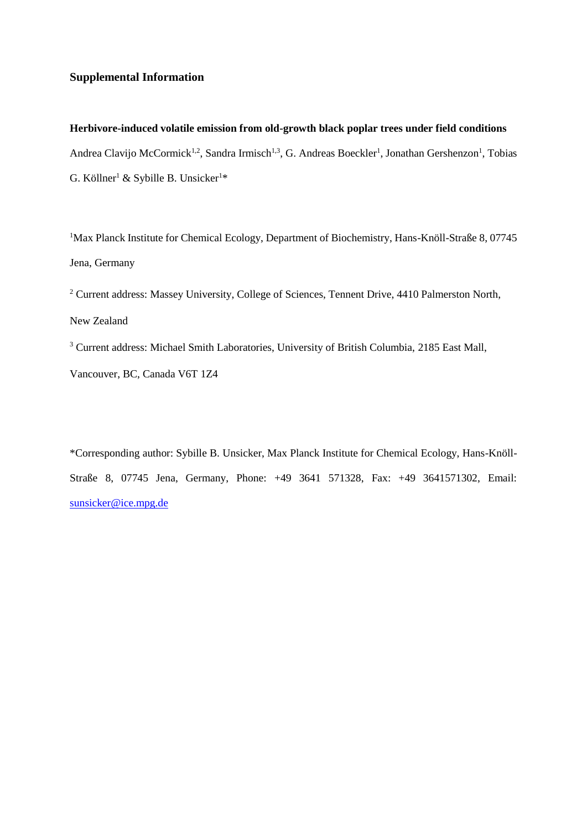## **Supplemental Information**

**Herbivore-induced volatile emission from old-growth black poplar trees under field conditions** Andrea Clavijo McCormick<sup>1,2</sup>, Sandra Irmisch<sup>1,3</sup>, G. Andreas Boeckler<sup>1</sup>, Jonathan Gershenzon<sup>1</sup>, Tobias G. Köllner<sup>1</sup> & Sybille B. Unsicker<sup>1\*</sup>

<sup>1</sup>Max Planck Institute for Chemical Ecology, Department of Biochemistry, Hans-Knöll-Straße 8, 07745 Jena, Germany

<sup>2</sup> Current address: Massey University, College of Sciences, Tennent Drive, 4410 Palmerston North, New Zealand

<sup>3</sup> Current address: Michael Smith Laboratories, University of British Columbia, 2185 East Mall,

Vancouver, BC, Canada V6T 1Z4

\*Corresponding author: Sybille B. Unsicker, Max Planck Institute for Chemical Ecology, Hans-Knöll-Straße 8, 07745 Jena, Germany, Phone: +49 3641 571328, Fax: +49 3641571302, Email: [sunsicker@ice.mpg.de](mailto:sunsicker@ice.mpg.de)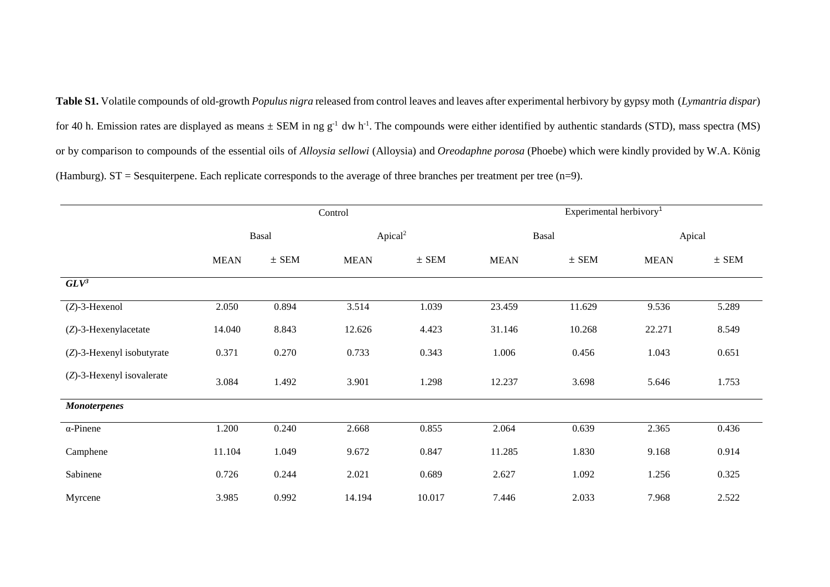**Table S1.** Volatile compounds of old-growth *Populus nigra* released from control leaves and leaves after experimental herbivory by gypsy moth (*Lymantria dispar*) for 40 h. Emission rates are displayed as means  $\pm$  SEM in ng g<sup>-1</sup> dw h<sup>-1</sup>. The compounds were either identified by authentic standards (STD), mass spectra (MS) or by comparison to compounds of the essential oils of *Alloysia sellowi* (Alloysia) and *Oreodaphne porosa* (Phoebe) which were kindly provided by W.A. König (Hamburg). ST = Sesquiterpene. Each replicate corresponds to the average of three branches per treatment per tree (n=9).

|                              |             |           | Control             |           | Experimental herbivory <sup>1</sup> |           |             |           |  |
|------------------------------|-------------|-----------|---------------------|-----------|-------------------------------------|-----------|-------------|-----------|--|
|                              | Basal       |           | Apical <sup>2</sup> |           | Basal                               |           | Apical      |           |  |
|                              | <b>MEAN</b> | $\pm$ SEM | <b>MEAN</b>         | $\pm$ SEM | <b>MEAN</b>                         | $\pm$ SEM | <b>MEAN</b> | $\pm$ SEM |  |
| $GLV^3$                      |             |           |                     |           |                                     |           |             |           |  |
| $(Z)$ -3-Hexenol             | 2.050       | 0.894     | 3.514               | 1.039     | 23.459                              | 11.629    | 9.536       | 5.289     |  |
| $(Z)$ -3-Hexenylacetate      | 14.040      | 8.843     | 12.626              | 4.423     | 31.146                              | 10.268    | 22.271      | 8.549     |  |
| $(Z)$ -3-Hexenyl isobutyrate | 0.371       | 0.270     | 0.733               | 0.343     | 1.006                               | 0.456     | 1.043       | 0.651     |  |
| (Z)-3-Hexenyl isovalerate    | 3.084       | 1.492     | 3.901               | 1.298     | 12.237                              | 3.698     | 5.646       | 1.753     |  |
| <b>Monoterpenes</b>          |             |           |                     |           |                                     |           |             |           |  |
| $\alpha$ -Pinene             | 1.200       | 0.240     | 2.668               | 0.855     | 2.064                               | 0.639     | 2.365       | 0.436     |  |
| Camphene                     | 11.104      | 1.049     | 9.672               | 0.847     | 11.285                              | 1.830     | 9.168       | 0.914     |  |
| Sabinene                     | 0.726       | 0.244     | 2.021               | 0.689     | 2.627                               | 1.092     | 1.256       | 0.325     |  |
| Myrcene                      | 3.985       | 0.992     | 14.194              | 10.017    | 7.446                               | 2.033     | 7.968       | 2.522     |  |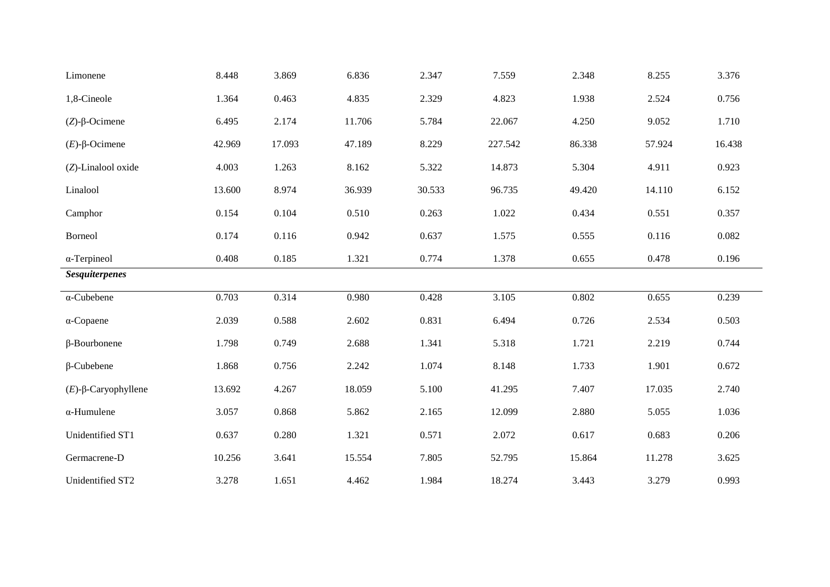| Limonene                 | 8.448  | 3.869  | 6.836  | 2.347  | 7.559   | 2.348  | 8.255  | 3.376  |
|--------------------------|--------|--------|--------|--------|---------|--------|--------|--------|
| 1,8-Cineole              | 1.364  | 0.463  | 4.835  | 2.329  | 4.823   | 1.938  | 2.524  | 0.756  |
| $(Z)$ - $\beta$ -Ocimene | 6.495  | 2.174  | 11.706 | 5.784  | 22.067  | 4.250  | 9.052  | 1.710  |
| $(E)$ -β-Ocimene         | 42.969 | 17.093 | 47.189 | 8.229  | 227.542 | 86.338 | 57.924 | 16.438 |
| (Z)-Linalool oxide       | 4.003  | 1.263  | 8.162  | 5.322  | 14.873  | 5.304  | 4.911  | 0.923  |
| Linalool                 | 13.600 | 8.974  | 36.939 | 30.533 | 96.735  | 49.420 | 14.110 | 6.152  |
| Camphor                  | 0.154  | 0.104  | 0.510  | 0.263  | 1.022   | 0.434  | 0.551  | 0.357  |
| Borneol                  | 0.174  | 0.116  | 0.942  | 0.637  | 1.575   | 0.555  | 0.116  | 0.082  |
| $\alpha$ -Terpineol      | 0.408  | 0.185  | 1.321  | 0.774  | 1.378   | 0.655  | 0.478  | 0.196  |
| <b>Sesquiterpenes</b>    |        |        |        |        |         |        |        |        |
| $\alpha$ -Cubebene       | 0.703  | 0.314  | 0.980  | 0.428  | 3.105   | 0.802  | 0.655  | 0.239  |
| $\alpha$ -Copaene        | 2.039  | 0.588  | 2.602  | 0.831  | 6.494   | 0.726  | 2.534  | 0.503  |
| $\beta$ -Bourbonene      | 1.798  | 0.749  | 2.688  | 1.341  | 5.318   | 1.721  | 2.219  | 0.744  |
| $\beta$ -Cubebene        | 1.868  | 0.756  | 2.242  | 1.074  | 8.148   | 1.733  | 1.901  | 0.672  |
| $(E)$ -β-Caryophyllene   | 13.692 | 4.267  | 18.059 | 5.100  | 41.295  | 7.407  | 17.035 | 2.740  |
| $\alpha$ -Humulene       | 3.057  | 0.868  | 5.862  | 2.165  | 12.099  | 2.880  | 5.055  | 1.036  |
| Unidentified ST1         | 0.637  | 0.280  | 1.321  | 0.571  | 2.072   | 0.617  | 0.683  | 0.206  |
| Germacrene-D             | 10.256 | 3.641  | 15.554 | 7.805  | 52.795  | 15.864 | 11.278 | 3.625  |
| Unidentified ST2         | 3.278  | 1.651  | 4.462  | 1.984  | 18.274  | 3.443  | 3.279  | 0.993  |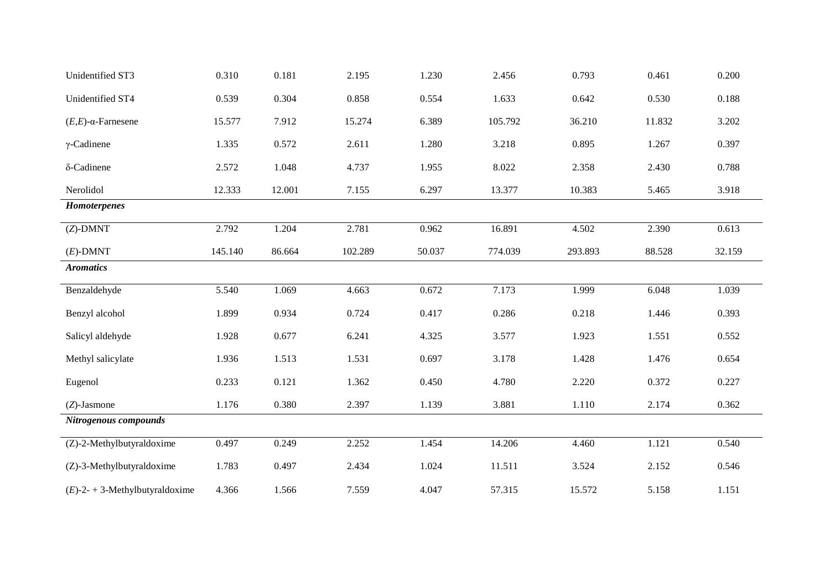| Unidentified ST3                  | 0.310   | 0.181  | 2.195   | 1.230  | 2.456   | 0.793   | 0.461  | 0.200  |
|-----------------------------------|---------|--------|---------|--------|---------|---------|--------|--------|
| Unidentified ST4                  | 0.539   | 0.304  | 0.858   | 0.554  | 1.633   | 0.642   | 0.530  | 0.188  |
| $(E,E)$ - $\alpha$ -Farnesene     | 15.577  | 7.912  | 15.274  | 6.389  | 105.792 | 36.210  | 11.832 | 3.202  |
| $\gamma$ -Cadinene                | 1.335   | 0.572  | 2.611   | 1.280  | 3.218   | 0.895   | 1.267  | 0.397  |
| δ-Cadinene                        | 2.572   | 1.048  | 4.737   | 1.955  | 8.022   | 2.358   | 2.430  | 0.788  |
| Nerolidol                         | 12.333  | 12.001 | 7.155   | 6.297  | 13.377  | 10.383  | 5.465  | 3.918  |
| <b>Homoterpenes</b>               |         |        |         |        |         |         |        |        |
| $(Z)$ -DMNT                       | 2.792   | 1.204  | 2.781   | 0.962  | 16.891  | 4.502   | 2.390  | 0.613  |
| $(E)$ -DMNT                       | 145.140 | 86.664 | 102.289 | 50.037 | 774.039 | 293.893 | 88.528 | 32.159 |
| <b>Aromatics</b>                  |         |        |         |        |         |         |        |        |
| Benzaldehyde                      | 5.540   | 1.069  | 4.663   | 0.672  | 7.173   | 1.999   | 6.048  | 1.039  |
| Benzyl alcohol                    | 1.899   | 0.934  | 0.724   | 0.417  | 0.286   | 0.218   | 1.446  | 0.393  |
| Salicyl aldehyde                  | 1.928   | 0.677  | 6.241   | 4.325  | 3.577   | 1.923   | 1.551  | 0.552  |
| Methyl salicylate                 | 1.936   | 1.513  | 1.531   | 0.697  | 3.178   | 1.428   | 1.476  | 0.654  |
| Eugenol                           | 0.233   | 0.121  | 1.362   | 0.450  | 4.780   | 2.220   | 0.372  | 0.227  |
| $(Z)$ -Jasmone                    | 1.176   | 0.380  | 2.397   | 1.139  | 3.881   | 1.110   | 2.174  | 0.362  |
| Nitrogenous compounds             |         |        |         |        |         |         |        |        |
| (Z)-2-Methylbutyraldoxime         | 0.497   | 0.249  | 2.252   | 1.454  | 14.206  | 4.460   | 1.121  | 0.540  |
| (Z)-3-Methylbutyraldoxime         | 1.783   | 0.497  | 2.434   | 1.024  | 11.511  | 3.524   | 2.152  | 0.546  |
| $(E)$ -2- + 3-Methylbutyraldoxime | 4.366   | 1.566  | 7.559   | 4.047  | 57.315  | 15.572  | 5.158  | 1.151  |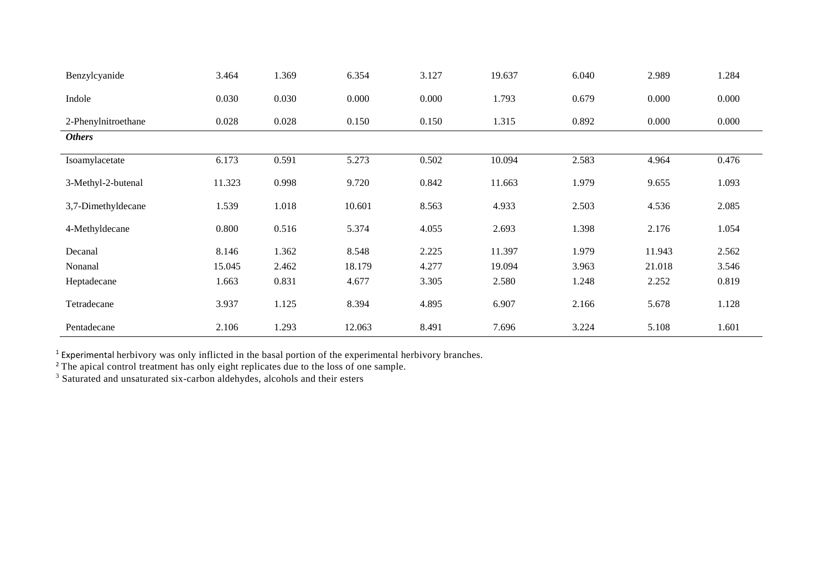| Benzylcyanide       | 3.464  | 1.369 | 6.354  | 3.127 | 19.637 | 6.040 | 2.989  | 1.284 |
|---------------------|--------|-------|--------|-------|--------|-------|--------|-------|
| Indole              | 0.030  | 0.030 | 0.000  | 0.000 | 1.793  | 0.679 | 0.000  | 0.000 |
| 2-Phenylnitroethane | 0.028  | 0.028 | 0.150  | 0.150 | 1.315  | 0.892 | 0.000  | 0.000 |
| <b>Others</b>       |        |       |        |       |        |       |        |       |
| Isoamylacetate      | 6.173  | 0.591 | 5.273  | 0.502 | 10.094 | 2.583 | 4.964  | 0.476 |
| 3-Methyl-2-butenal  | 11.323 | 0.998 | 9.720  | 0.842 | 11.663 | 1.979 | 9.655  | 1.093 |
| 3,7-Dimethyldecane  | 1.539  | 1.018 | 10.601 | 8.563 | 4.933  | 2.503 | 4.536  | 2.085 |
| 4-Methyldecane      | 0.800  | 0.516 | 5.374  | 4.055 | 2.693  | 1.398 | 2.176  | 1.054 |
| Decanal             | 8.146  | 1.362 | 8.548  | 2.225 | 11.397 | 1.979 | 11.943 | 2.562 |
| Nonanal             | 15.045 | 2.462 | 18.179 | 4.277 | 19.094 | 3.963 | 21.018 | 3.546 |
| Heptadecane         | 1.663  | 0.831 | 4.677  | 3.305 | 2.580  | 1.248 | 2.252  | 0.819 |
| Tetradecane         | 3.937  | 1.125 | 8.394  | 4.895 | 6.907  | 2.166 | 5.678  | 1.128 |
| Pentadecane         | 2.106  | 1.293 | 12.063 | 8.491 | 7.696  | 3.224 | 5.108  | 1.601 |

 $<sup>1</sup>$  Experimental herbivory was only inflicted in the basal portion of the experimental herbivory branches.</sup>

<sup>2</sup> The apical control treatment has only eight replicates due to the loss of one sample.

<sup>3</sup> Saturated and unsaturated six-carbon aldehydes, alcohols and their esters